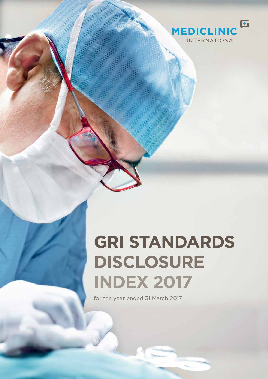

## **GRI STANDARDS DISCLOSURE INDEX 2017**

for the year ended 31 March 2017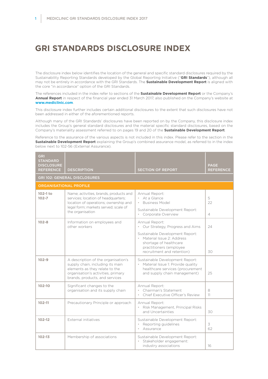## **GRI STANDARDS DISCLOSURE INDEX**

The disclosure index below identifies the location of the general and specific standard disclosures required by the Sustainability Reporting Standards developed by the Global Reporting Initiative ("**GRI Standards**"), although all may not be entirely in accordance with the GRI Standards. The **Sustainable Development Report** is aligned with the core "in accordance" option of the GRI Standards.

The references included in the index refer to sections of the **Sustainable Development Report** or the Company's **Annual Report** in respect of the financial year ended 31 March 2017, also published on the Company's website at **www.mediclinic.com**.

This disclosure index further includes certain additional disclosures to the extent that such disclosures have not been addressed in either of the aforementioned reports.

Although many of the GRI Standards' disclosures have been reported on by the Company, this disclosure index includes the Group's general standard disclosures and the material specific standard disclosures, based on the Company's materiality assessment referred to on pages 19 and 20 of the **Sustainable Development Report**.

Reference to the assurance of the various aspects is not included in this index. Please refer to the section in the **Sustainable Development Report** explaining the Group's combined assurance model, as referred to in the index below next to 102-56 (External Assurance).

| <b>GRI</b><br><b>STANDARD</b><br><b>DISCLOSURE</b><br><b>REFERENCE</b> | <b>DESCRIPTION</b>                                                                                                                                                                | <b>SECTION OF REPORT</b>                                                                                                                          | <b>PAGE</b><br><b>REFERENCE</b> |
|------------------------------------------------------------------------|-----------------------------------------------------------------------------------------------------------------------------------------------------------------------------------|---------------------------------------------------------------------------------------------------------------------------------------------------|---------------------------------|
|                                                                        | <b>GRI 102: GENERAL DISCLOSURES</b>                                                                                                                                               |                                                                                                                                                   |                                 |
| <b>ORGANISATIONAL PROFILE</b>                                          |                                                                                                                                                                                   |                                                                                                                                                   |                                 |
| $102-1$ to<br>$102 - 7$                                                | Name; activities, brands, products and<br>services; location of headquarters;<br>location of operations; ownership and                                                            | Annual Report:<br>• At a Glance<br><b>Business Model</b>                                                                                          | 5<br>22                         |
|                                                                        | legal form; markets served; scale of<br>the organisation                                                                                                                          | Sustainable Development Report:<br>Corporate Overview                                                                                             | $\overline{4}$                  |
| $102 - 8$                                                              | Information on employees and<br>other workers                                                                                                                                     | Annual Report:<br>• Our Strategy, Progress and Aims                                                                                               | 24                              |
|                                                                        |                                                                                                                                                                                   | Sustainable Development Report:<br>• Material Issue 2: Address<br>shortage of healthcare<br>practitioners (employee<br>recruitment and retention) | 30                              |
| $102 - 9$                                                              | A description of the organisation's<br>supply chain, including its main<br>elements as they relate to the<br>organisation's activities, primary<br>brands, products, and services | Sustainable Development Report:<br>• Material Issue 1: Provide quality<br>healthcare services (procurement<br>and supply chain management)        | 25                              |
| 102-10                                                                 | Significant changes to the<br>organisation and its supply chain                                                                                                                   | Annual Report:<br>Chairman's Statement<br>Chief Executive Officer's Review                                                                        | 8<br>11                         |
| $102 - 11$                                                             | Precautionary Principle or approach                                                                                                                                               | Annual Report:<br>· Risk Management, Principal Risks<br>and Uncertainties                                                                         | 30                              |
| $102 - 12$                                                             | External initiatives                                                                                                                                                              | Sustainable Development Report:<br>Reporting guidelines<br>Assurance<br>$\bullet$                                                                 | 3<br>62                         |
| $102 - 13$                                                             | Membership of associations                                                                                                                                                        | Sustainable Development Report:<br>Stakeholder engagement:<br>industry associations                                                               | 16                              |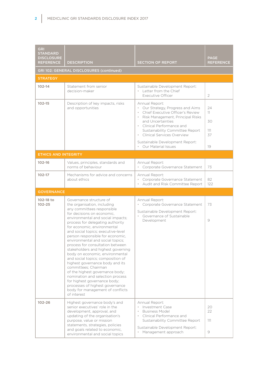| <b>GRI</b><br><b>STANDARD</b><br><b>DISCLOSURE</b><br><b>REFERENCE</b> | <b>DESCRIPTION</b>                                                                                                                                                                                                                                                                                                                                                                                                                                                                                                                                                                                                                                                                                                                                 | <b>SECTION OF REPORT</b>                                                                                                                                                                                                                                                                                    | <b>PAGE</b><br><b>REFERENCE</b>   |
|------------------------------------------------------------------------|----------------------------------------------------------------------------------------------------------------------------------------------------------------------------------------------------------------------------------------------------------------------------------------------------------------------------------------------------------------------------------------------------------------------------------------------------------------------------------------------------------------------------------------------------------------------------------------------------------------------------------------------------------------------------------------------------------------------------------------------------|-------------------------------------------------------------------------------------------------------------------------------------------------------------------------------------------------------------------------------------------------------------------------------------------------------------|-----------------------------------|
|                                                                        | GRI 102: GENERAL DISCLOSURES (continued)                                                                                                                                                                                                                                                                                                                                                                                                                                                                                                                                                                                                                                                                                                           |                                                                                                                                                                                                                                                                                                             |                                   |
| <b>STRATEGY</b>                                                        |                                                                                                                                                                                                                                                                                                                                                                                                                                                                                                                                                                                                                                                                                                                                                    |                                                                                                                                                                                                                                                                                                             |                                   |
| $102 - 14$                                                             | Statement from senior<br>decision-maker                                                                                                                                                                                                                                                                                                                                                                                                                                                                                                                                                                                                                                                                                                            | Sustainable Development Report:<br>• Letter from the Chief<br>Executive Officer                                                                                                                                                                                                                             | $\overline{2}$                    |
| $102 - 15$                                                             | Description of key impacts, risks<br>and opportunities                                                                                                                                                                                                                                                                                                                                                                                                                                                                                                                                                                                                                                                                                             | Annual Report:<br>• Our Strategy, Progress and Aims<br>Chief Executive Officer's Review<br>Risk Management, Principal Risks<br>and Uncertainties<br>• Clinical Performance and<br>Sustainability Committee Report<br>Clinical Services Overview<br>Sustainable Development Report:<br>• Our Material Issues | 24<br>11<br>30<br>111<br>37<br>19 |
| <b>ETHICS AND INTEGRITY</b>                                            |                                                                                                                                                                                                                                                                                                                                                                                                                                                                                                                                                                                                                                                                                                                                                    |                                                                                                                                                                                                                                                                                                             |                                   |
| $102 - 16$                                                             | Values, principles, standards and<br>norms of behaviour                                                                                                                                                                                                                                                                                                                                                                                                                                                                                                                                                                                                                                                                                            | Annual Report:<br>• Corporate Governance Statement                                                                                                                                                                                                                                                          | 73                                |
| $102 - 17$                                                             | Mechanisms for advice and concerns<br>about ethics                                                                                                                                                                                                                                                                                                                                                                                                                                                                                                                                                                                                                                                                                                 | Annual Report:<br>• Corporate Governance Statement<br>• Audit and Risk Committee Report                                                                                                                                                                                                                     | 82<br>122                         |
| <b>GOVERNANCE</b>                                                      |                                                                                                                                                                                                                                                                                                                                                                                                                                                                                                                                                                                                                                                                                                                                                    |                                                                                                                                                                                                                                                                                                             |                                   |
| 102-18 to<br>$102 - 25$                                                | Governance structure of<br>the organisation, including<br>any committees responsible<br>for decisions on economic,<br>environmental and social impacts;<br>process for delegating authority<br>for economic, environmental<br>and social topics; executive-level<br>person responsible for economic,<br>environmental and social topics;<br>process for consultation between<br>stakeholders and highest governing<br>body on economic, environmental<br>and social topics; composition of<br>highest governance body and its<br>committees; Chairman<br>of the highest governance body;<br>nomination and selection process<br>for highest governance body;<br>processes of highest governance<br>body for management of conflicts<br>of interest | Annual Report:<br>Corporate Governance Statement<br>Sustainable Development Report:<br>Governance of Sustainable<br>Development                                                                                                                                                                             | 73<br>9                           |
| $102 - 26$                                                             | Highest governance body's and<br>senior executives' role in the<br>development, approval, and<br>updating of the organisation's<br>purpose, value or mission<br>statements, strategies, policies<br>and goals related to economic,<br>environmental and social topics                                                                                                                                                                                                                                                                                                                                                                                                                                                                              | Annual Report:<br>• Investment Case<br><b>Business Model</b><br>Clinical Performance and<br>Sustainability Committee Report<br>Sustainable Development Report:<br>• Management approach                                                                                                                     | 20<br>22<br>111<br>9              |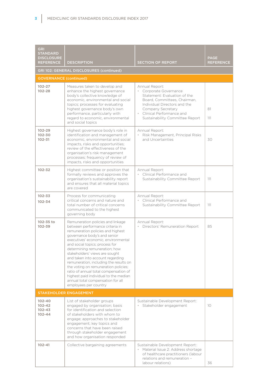| <b>GRI</b><br><b>STANDARD</b><br><b>DISCLOSURE</b><br><b>REFERENCE</b> | <b>DESCRIPTION</b>                                                                                                                                                                                                                                                                                                                                                                                                                                                                                                                                          | <b>SECTION OF REPORT</b>                                                                                                                                                                                                       | <b>PAGE</b><br><b>REFERENCE</b> |  |
|------------------------------------------------------------------------|-------------------------------------------------------------------------------------------------------------------------------------------------------------------------------------------------------------------------------------------------------------------------------------------------------------------------------------------------------------------------------------------------------------------------------------------------------------------------------------------------------------------------------------------------------------|--------------------------------------------------------------------------------------------------------------------------------------------------------------------------------------------------------------------------------|---------------------------------|--|
|                                                                        | GRI 102: GENERAL DISCLOSURES (continued)                                                                                                                                                                                                                                                                                                                                                                                                                                                                                                                    |                                                                                                                                                                                                                                |                                 |  |
| <b>GOVERNANCE (continued)</b>                                          |                                                                                                                                                                                                                                                                                                                                                                                                                                                                                                                                                             |                                                                                                                                                                                                                                |                                 |  |
| $102 - 27$<br>$102 - 28$                                               | Measures taken to develop and<br>enhance the highest governance<br>body's collective knowledge of<br>economic, environmental and social<br>topics; processes for evaluating<br>highest governance body's own<br>performance, particularly with<br>regard to economic, environmental<br>and social topics                                                                                                                                                                                                                                                    | Annual Report:<br>• Corporate Governance<br>Statement: Evaluation of the<br>Board, Committees, Chairman,<br>Individual Directors and the<br>Company Secretary<br>• Clinical Performance and<br>Sustainability Committee Report | 81<br>111                       |  |
| $102 - 29$<br>102-30<br>$102 - 31$                                     | Highest governance body's role in<br>identification and management of<br>economic, environmental and social<br>impacts, risks and opportunities;<br>review of the effectiveness of the<br>organisation's risk management<br>processes; frequency of review of<br>impacts, risks and opportunities                                                                                                                                                                                                                                                           | Annual Report:<br>• Risk Management, Principal Risks<br>and Uncertainties                                                                                                                                                      | 30                              |  |
| $102 - 32$                                                             | Highest committee or position that<br>formally reviews and approves the<br>organisation's sustainability report<br>and ensures that all material topics<br>are covered                                                                                                                                                                                                                                                                                                                                                                                      | Annual Report:<br>• Clinical Performance and<br>Sustainability Committee Report                                                                                                                                                | 111                             |  |
| $102 - 33$<br>$102 - 34$                                               | Process for communicating<br>critical concerns and nature and<br>total number of critical concerns<br>communicated to the highest<br>governing body                                                                                                                                                                                                                                                                                                                                                                                                         | Annual Report:<br>Clinical Performance and<br>Sustainability Committee Report                                                                                                                                                  | 111                             |  |
| 102-35 to<br>$102 - 39$                                                | Remuneration policies and linkage<br>between performance criteria in<br>remuneration policies and highest<br>governance body's and senior<br>executives' economic, environmental<br>and social topics; process for<br>determining remuneration; how<br>stakeholders' views are sought<br>and taken into account regarding<br>remuneration, including the results on<br>the voting on remuneration policies;<br>ratio of annual total compensation of<br>highest paid individual to the median<br>annual total compensation for all<br>employees per country | Annual Report:<br>· Directors' Remuneration Report                                                                                                                                                                             | 85                              |  |
| <b>STAKEHOLDER ENGAGEMENT</b>                                          |                                                                                                                                                                                                                                                                                                                                                                                                                                                                                                                                                             |                                                                                                                                                                                                                                |                                 |  |
| $102 - 40$<br>$102 - 42$<br>$102 - 43$<br>$102 - 44$                   | List of stakeholder groups<br>engaged by organisation; basis<br>for identification and selection<br>of stakeholders with whom to<br>engage; approaches to stakeholder<br>engagement; key topics and<br>concerns that have been raised<br>through stakeholder engagement<br>and how organisation responded                                                                                                                                                                                                                                                   | Sustainable Development Report:<br>Stakeholder engagement                                                                                                                                                                      | 10 <sup>°</sup>                 |  |
| $102 - 41$                                                             | Collective bargaining agreements                                                                                                                                                                                                                                                                                                                                                                                                                                                                                                                            | Sustainable Development Report:<br>· Material Issue 2: Address shortage<br>of healthcare practitioners (labour<br>relations and remuneration -<br>labour relations)                                                            | 36                              |  |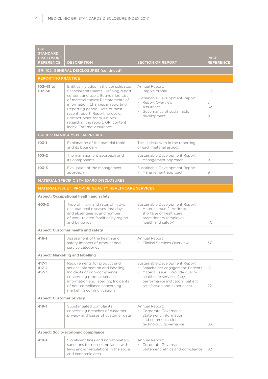| <b>GRI</b><br><b>STANDARD</b><br><b>DISCLOSURE</b><br><b>REFERENCE</b> | <b>DESCRIPTION</b>                                                                                                                                                                                                                                                                                                                                                      | <b>SECTION OF REPORT</b>                                                                                                                                                                                | <b>PAGE</b><br><b>REFERENCE</b> |
|------------------------------------------------------------------------|-------------------------------------------------------------------------------------------------------------------------------------------------------------------------------------------------------------------------------------------------------------------------------------------------------------------------------------------------------------------------|---------------------------------------------------------------------------------------------------------------------------------------------------------------------------------------------------------|---------------------------------|
|                                                                        | GRI 102: GENERAL DISCLOSURES (continued)                                                                                                                                                                                                                                                                                                                                |                                                                                                                                                                                                         |                                 |
| <b>REPORTING PRACTICE</b>                                              |                                                                                                                                                                                                                                                                                                                                                                         |                                                                                                                                                                                                         |                                 |
| 102-45 to<br>$102 - 56$                                                | Entities included in the consolidated<br>financial statements; Defining report<br>content and topic Boundaries; List<br>of material topics; Restatements of<br>information; Changes in reporting;<br>Reporting period; Date of most<br>recent report; Reporting cycle;<br>Contact point for questions<br>regarding the report; GRI content<br>index: External assurance | Annual Report:<br>· Report profile<br>Sustainable Development Report:<br>• Report Overview<br>Assurance<br>Governance of sustainable<br>development                                                     | IFC<br>3<br>62<br>9             |
|                                                                        | GRI 103: MANAGEMENT APPROACH                                                                                                                                                                                                                                                                                                                                            |                                                                                                                                                                                                         |                                 |
| $103-1$                                                                | Explanation of the material topic<br>and its boundary                                                                                                                                                                                                                                                                                                                   | This is dealt with in the reporting<br>of each material aspect                                                                                                                                          |                                 |
| $103 - 2$                                                              | The management approach and<br>its components                                                                                                                                                                                                                                                                                                                           | Sustainable Development Report:<br>• Management approach                                                                                                                                                | 9                               |
| $103 - 3$                                                              | Evaluation of the management<br>approach                                                                                                                                                                                                                                                                                                                                | Sustainable Development Report:<br>· Management approach                                                                                                                                                | 9                               |
|                                                                        | MATERIAL SPECIFIC STANDARD DISCLOSURES                                                                                                                                                                                                                                                                                                                                  |                                                                                                                                                                                                         |                                 |
|                                                                        | MATERIAL ISSUE 1: PROVIDE QUALITY HEALTHCARE SERVICES                                                                                                                                                                                                                                                                                                                   |                                                                                                                                                                                                         |                                 |
|                                                                        | <b>Aspect: Occupational health and safety</b>                                                                                                                                                                                                                                                                                                                           |                                                                                                                                                                                                         |                                 |
| $403 - 2$                                                              | Type of injury and rates of injury,<br>occupational diseases, lost days<br>and absenteeism, and number<br>of work-related fatalities by region<br>and by gender                                                                                                                                                                                                         | Sustainable Development Report:<br>• Material Issue 2: Address<br>shortage of healthcare<br>practitioners (employee<br>health and safety)                                                               | 40                              |
|                                                                        | <b>Aspect: Customer health and safety</b>                                                                                                                                                                                                                                                                                                                               |                                                                                                                                                                                                         |                                 |
| 416-1                                                                  | Assessment of the health and<br>safety impacts of product and<br>service categories                                                                                                                                                                                                                                                                                     | Annual Report<br>• Clinical Services Overview                                                                                                                                                           | 37                              |
|                                                                        | <b>Aspect: Marketing and labelling</b>                                                                                                                                                                                                                                                                                                                                  |                                                                                                                                                                                                         |                                 |
| 417-1<br>$417 - 2$<br>$417 - 3$                                        | Requirements for product and<br>service information and labelling;<br>Incidents of non-compliance<br>concerning product service<br>information and labelling; Incidents<br>of non-compliance concerning<br>marketing communications                                                                                                                                     | Sustainable Development Report:<br>Stakeholder engagement: Patients<br>Material Issue 1: Provide quality<br>healthcare services (key<br>performance indicators: patient<br>satisfaction and experience) | 10<br>22                        |
| <b>Aspect: Customer privacy</b>                                        |                                                                                                                                                                                                                                                                                                                                                                         |                                                                                                                                                                                                         |                                 |
| $418 - 1$                                                              | Substantiated complaints<br>concerning breaches of customer<br>privacy and losses of customer data                                                                                                                                                                                                                                                                      | Annual Report:<br>• Corporate Governance<br>Statement: information<br>and communications<br>technology governance                                                                                       | 83                              |
| <b>Aspect: Socio-economic compliance</b>                               |                                                                                                                                                                                                                                                                                                                                                                         |                                                                                                                                                                                                         |                                 |
| 419-1                                                                  | Significant fines and non-monetary<br>sanctions for non-compliance with<br>laws and/or regulations in the social<br>and economic area                                                                                                                                                                                                                                   | Annual Report:<br>• Corporate Governance<br>Statement: ethics and compliance                                                                                                                            | 82                              |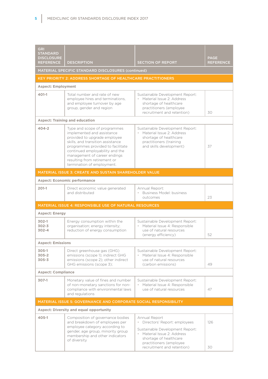| <b>GRI</b><br><b>STANDARD</b><br><b>DISCLOSURE</b><br><b>REFERENCE</b> | <b>DESCRIPTION</b>                                                                                                                                                                                                                                                                                    | <b>SECTION OF REPORT</b>                                                                                                                                                                             | <b>PAGE</b><br><b>REFERENCE</b> |
|------------------------------------------------------------------------|-------------------------------------------------------------------------------------------------------------------------------------------------------------------------------------------------------------------------------------------------------------------------------------------------------|------------------------------------------------------------------------------------------------------------------------------------------------------------------------------------------------------|---------------------------------|
|                                                                        | MATERIAL SPECIFIC STANDARD DISCLOSURES (continued)                                                                                                                                                                                                                                                    |                                                                                                                                                                                                      |                                 |
|                                                                        | <b>KEY PRIORITY 2: ADDRESS SHORTAGE OF HEALTHCARE PRACTITIONERS</b>                                                                                                                                                                                                                                   |                                                                                                                                                                                                      |                                 |
| <b>Aspect: Employment</b>                                              |                                                                                                                                                                                                                                                                                                       |                                                                                                                                                                                                      |                                 |
| $401-1$                                                                | Total number and rate of new<br>employee hires and terminations,<br>and employee turnover by age<br>group, gender and region                                                                                                                                                                          | Sustainable Development Report:<br>· Material Issue 2: Address<br>shortage of healthcare<br>practitioners (employee<br>recruitment and retention)                                                    | 30                              |
|                                                                        | <b>Aspect: Training and education</b>                                                                                                                                                                                                                                                                 |                                                                                                                                                                                                      |                                 |
| $404 - 2$                                                              | Type and scope of programmes<br>implemented and assistance<br>provided to upgrade employee<br>skills, and transition assistance<br>programmes provided to facilitate<br>continued employability and the<br>management of career endings<br>resulting from retirement or<br>termination of employment. | Sustainable Development Report:<br>• Material Issue 2: Address<br>shortage of healthcare<br>practitioners (training<br>and skills development)                                                       | 37                              |
|                                                                        | <b>MATERIAL ISSUE 3: CREATE AND SUSTAIN SHAREHOLDER VALUE</b>                                                                                                                                                                                                                                         |                                                                                                                                                                                                      |                                 |
|                                                                        | <b>Aspect: Economic performance</b>                                                                                                                                                                                                                                                                   |                                                                                                                                                                                                      |                                 |
| $201-1$                                                                | Direct economic value generated<br>and distributed                                                                                                                                                                                                                                                    | Annual Report:<br>• Business Model: business<br>outcomes                                                                                                                                             | 23                              |
|                                                                        | MATERIAL ISSUE 4: RESPONSIBLE USE OF NATURAL RESOURCES                                                                                                                                                                                                                                                |                                                                                                                                                                                                      |                                 |
| <b>Aspect: Energy</b>                                                  |                                                                                                                                                                                                                                                                                                       |                                                                                                                                                                                                      |                                 |
| $302-1$<br>$302 - 3$<br>$302 - 4$                                      | Energy consumption within the<br>organisation; energy intensity;<br>reduction of energy consumption                                                                                                                                                                                                   | Sustainable Development Report:<br>· Material Issue 4: Responsible<br>use of natural resources<br>(energy efficiency)                                                                                | 52                              |
| <b>Aspect: Emissions</b>                                               |                                                                                                                                                                                                                                                                                                       |                                                                                                                                                                                                      |                                 |
| $305-1$<br>$305 - 2$<br>$305 - 3$                                      | Direct greenhouse gas (GHG)<br>emissions (scope 1); indirect GHG<br>emissions (scope 2); other indirect<br>GHG emissions (scope 3);                                                                                                                                                                   | Sustainable Development Report:<br>• Material Issue 4: Responsible<br>use of natural resources<br>(carbon emissions)                                                                                 | 49                              |
| <b>Aspect: Compliance</b>                                              |                                                                                                                                                                                                                                                                                                       |                                                                                                                                                                                                      |                                 |
| $307-1$                                                                | Monetary value of fines and number<br>of non-monetary sanctions for non-<br>compliance with environmental laws<br>and regulations                                                                                                                                                                     | Sustainable Development Report:<br>· Material Issue 4: Responsible<br>use of natural resources                                                                                                       | 47                              |
| MATERIAL ISSUE 5: GOVERNANCE AND CORPORATE SOCIAL RESPONSIBILITY       |                                                                                                                                                                                                                                                                                                       |                                                                                                                                                                                                      |                                 |
| <b>Aspect: Diversity and equal opportunity</b>                         |                                                                                                                                                                                                                                                                                                       |                                                                                                                                                                                                      |                                 |
| $405 - 1$                                                              | Composition of governance bodies<br>and breakdown of employees per<br>employee category according to<br>gender, age group, minority group<br>membership and other indicators<br>of diversity                                                                                                          | Annual Report<br>· Directors' Report: employees<br>Sustainable Development Report:<br>• Material Issue 2: Address<br>shortage of healthcare<br>practitioners (employee<br>recruitment and retention) | 126<br>30                       |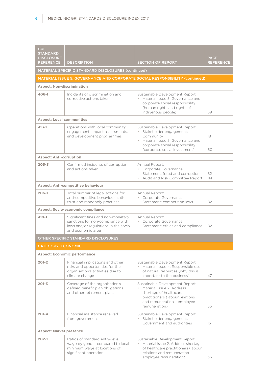| <b>GRI</b><br><b>STANDARD</b><br><b>DISCLOSURE</b><br><b>REFERENCE</b> | <b>DESCRIPTION</b>                                                                                                                    | <b>SECTION OF REPORT</b>                                                                                                                                                            | <b>PAGE</b><br><b>REFERENCE</b> |
|------------------------------------------------------------------------|---------------------------------------------------------------------------------------------------------------------------------------|-------------------------------------------------------------------------------------------------------------------------------------------------------------------------------------|---------------------------------|
|                                                                        | MATERIAL SPECIFIC STANDARD DISCLOSURES (continued)                                                                                    |                                                                                                                                                                                     |                                 |
|                                                                        |                                                                                                                                       | MATERIAL ISSUE 5: GOVERNANCE AND CORPORATE SOCIAL RESPONSIBILITY (continued)                                                                                                        |                                 |
| <b>Aspect: Non-discrimination</b>                                      |                                                                                                                                       |                                                                                                                                                                                     |                                 |
| $406 - 1$                                                              | Incidents of discrimination and<br>corrective actions taken                                                                           | Sustainable Development Report:<br>• Material Issue 5: Governance and<br>corporate social responsibility<br>(human rights and rights of<br>indigenous people)                       | 59                              |
| <b>Aspect: Local communities</b>                                       |                                                                                                                                       |                                                                                                                                                                                     |                                 |
| $413 - 1$                                                              | Operations with local community<br>engagement, impact assessments,<br>and development programmes                                      | Sustainable Development Report:<br>· Stakeholder engagement:<br>Community<br>• Material Issue 5: Governance and<br>corporate social responsibility<br>(corporate social investment) | 18<br>60                        |
| <b>Aspect: Anti-corruption</b>                                         |                                                                                                                                       |                                                                                                                                                                                     |                                 |
| $205 - 3$                                                              | Confirmed incidents of corruption<br>and actions taken                                                                                | Annual Report:<br>• Corporate Governance<br>Statement: fraud and corruption<br>Audit and Risk Committee Report                                                                      | 82<br>114                       |
|                                                                        | <b>Aspect: Anti-competitive behaviour</b>                                                                                             |                                                                                                                                                                                     |                                 |
| $206-1$                                                                | Total number of legal actions for<br>anti-competitive behaviour, anti-<br>trust and monopoly practices                                | Annual Report:<br>• Corporate Governance<br>Statement: competition laws                                                                                                             | 82                              |
|                                                                        | <b>Aspect: Socio-economic compliance</b>                                                                                              |                                                                                                                                                                                     |                                 |
| $419 - 1$                                                              | Significant fines and non-monetary<br>sanctions for non-compliance with<br>laws and/or regulations in the social<br>and economic area | Annual Report:<br>• Corporate Governance<br>Statement: ethics and compliance                                                                                                        | 82                              |
|                                                                        | OTHER SPECIFIC STANDARD DISCLOSURES                                                                                                   |                                                                                                                                                                                     |                                 |
| CATEGORY: ECONOMIC                                                     |                                                                                                                                       |                                                                                                                                                                                     |                                 |
|                                                                        | <b>Aspect: Economic performance</b>                                                                                                   |                                                                                                                                                                                     |                                 |
| $201 - 2$                                                              | Financial implications and other<br>risks and opportunities for the<br>organisation's activities due to<br>climate change             | Sustainable Development Report:<br>• Material Issue 4: Responsible use<br>of natural resources (why this is<br>important to the business)                                           | 47                              |
| $201 - 3$                                                              | Coverage of the organisation's<br>defined benefit plan obligations<br>and other retirement plans                                      | Sustainable Development Report:<br>• Material Issue 2: Address<br>shortage of healthcare<br>practitioners (labour relations<br>and remuneration - employee<br>remuneration)         | 35                              |
| $201 - 4$                                                              | Financial assistance received<br>from government                                                                                      | Sustainable Development Report:<br>· Stakeholder engagement:<br>Government and authorities                                                                                          | 15                              |
| <b>Aspect: Market presence</b>                                         |                                                                                                                                       |                                                                                                                                                                                     |                                 |
| $202 - 1$                                                              | Ratios of standard entry-level<br>wage by gender compared to local<br>minimum wage at locations of<br>significant operation           | Sustainable Development Report:<br>· Material Issue 2: Address shortage<br>of healthcare practitioners (labour<br>relations and remuneration -<br>employee remuneration)            | 35                              |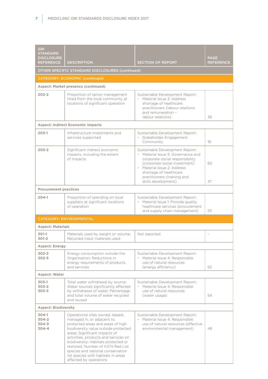| <b>GRI</b><br><b>STANDARD</b><br><b>DISCLOSURE</b><br><b>REFERENCE</b> | <b>DESCRIPTION</b>                                                                                                                                                                                                                                                                                                                                                                                      | <b>SECTION OF REPORT</b>                                                                                                                                                                                                                               | <b>PAGE</b><br><b>REFERENCE</b> |
|------------------------------------------------------------------------|---------------------------------------------------------------------------------------------------------------------------------------------------------------------------------------------------------------------------------------------------------------------------------------------------------------------------------------------------------------------------------------------------------|--------------------------------------------------------------------------------------------------------------------------------------------------------------------------------------------------------------------------------------------------------|---------------------------------|
|                                                                        | OTHER SPECIFIC STANDARD DISCLOSURES (continued)                                                                                                                                                                                                                                                                                                                                                         |                                                                                                                                                                                                                                                        |                                 |
|                                                                        | <b>CATEGORY: ECONOMIC (continued)</b>                                                                                                                                                                                                                                                                                                                                                                   |                                                                                                                                                                                                                                                        |                                 |
|                                                                        | <b>Aspect: Market presence (continued)</b>                                                                                                                                                                                                                                                                                                                                                              |                                                                                                                                                                                                                                                        |                                 |
| $202 - 2$                                                              | Proportion of senior management<br>hired from the local community at<br>locations of significant operation                                                                                                                                                                                                                                                                                              | Sustainable Development Report:<br>• Material Issue 2: Address<br>shortage of healthcare<br>practitioners (labour relations<br>and remuneration -<br>labour relations)                                                                                 | 36                              |
|                                                                        | <b>Aspect: Indirect Economic Impacts</b>                                                                                                                                                                                                                                                                                                                                                                |                                                                                                                                                                                                                                                        |                                 |
| $203-1$                                                                | Infrastructure investments and<br>services supported                                                                                                                                                                                                                                                                                                                                                    | Sustainable Development Report:<br>· Stakeholder Engagement:<br>Community                                                                                                                                                                              | 18                              |
| $203 - 2$                                                              | Significant indirect economic<br>impacts, including the extent<br>of impacts                                                                                                                                                                                                                                                                                                                            | Sustainable Development Report:<br>• Material Issue 5: Governance and<br>corporate social responsibility<br>(corporate social investment)<br>Material Issue 2: Address<br>shortage of healthcare<br>practitioners (training and<br>skills development) | 60<br>37                        |
| <b>Procurement practices</b>                                           |                                                                                                                                                                                                                                                                                                                                                                                                         |                                                                                                                                                                                                                                                        |                                 |
| $204-1$                                                                | Proportion of spending on local<br>suppliers at significant locations<br>of operation                                                                                                                                                                                                                                                                                                                   | Sustainable Development Report:<br>• Material Issue 1: Provide quality<br>healthcare services (procurement<br>and supply chain management)                                                                                                             | 25                              |
|                                                                        | <b>CATEGORY: ENVIRONMENTAL</b>                                                                                                                                                                                                                                                                                                                                                                          |                                                                                                                                                                                                                                                        |                                 |
| <b>Aspect: Materials</b>                                               |                                                                                                                                                                                                                                                                                                                                                                                                         |                                                                                                                                                                                                                                                        |                                 |
| $301-1$<br>$301 - 2$                                                   | Materials used by weight or volume;<br>Recycled input materials used                                                                                                                                                                                                                                                                                                                                    | Not reported                                                                                                                                                                                                                                           | ÷,                              |
| <b>Aspect: Energy</b>                                                  |                                                                                                                                                                                                                                                                                                                                                                                                         |                                                                                                                                                                                                                                                        |                                 |
| $302 - 2$<br>$302 - 5$                                                 | Energy consumption outside the<br>Organisation; Reductions in<br>energy requirements of products<br>and services                                                                                                                                                                                                                                                                                        | Sustainable Development Report:<br>• Material Issue 4: Responsible<br>use of natural resources<br>(energy efficiency)                                                                                                                                  | 52                              |
| <b>Aspect: Water</b>                                                   |                                                                                                                                                                                                                                                                                                                                                                                                         |                                                                                                                                                                                                                                                        |                                 |
| $303-1$<br>$303 - 2$<br>$303 - 3$                                      | Total water withdrawal by source;<br>Water sources significantly affected<br>by withdrawal of water; Percentage<br>and total volume of water recycled<br>and reused                                                                                                                                                                                                                                     | Sustainable Development Report:<br>· Material Issue 4: Responsible<br>use of natural resources<br>(water usage)                                                                                                                                        | 54                              |
| <b>Aspect: Biodiversity</b>                                            |                                                                                                                                                                                                                                                                                                                                                                                                         |                                                                                                                                                                                                                                                        |                                 |
| $304-1$<br>$304 - 2$<br>$304 - 3$<br>$304 - 4$                         | Operational sites owned, leased,<br>managed in, or adjacent to,<br>protected areas and areas of high<br>biodiversity value outside protected<br>areas; Significant impacts of<br>activities, products and services on<br>biodiversity; Habitats protected or<br>restored; Number of IUCN Red List<br>species and national conservation<br>list species with habitats in areas<br>affected by operations | Sustainable Development Report:<br>• Material Issue 4: Responsible<br>use of natural resources (effective<br>environmental management)                                                                                                                 | 48                              |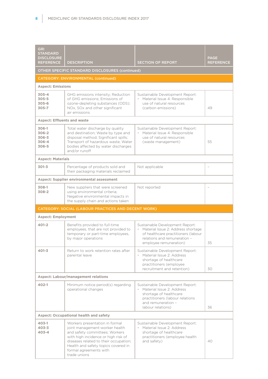| <b>GRI</b><br><b>STANDARD</b><br><b>DISCLOSURE</b>    |                                                                                                                                                                                                               |                                                                                                                                                                        | <b>PAGE</b>      |
|-------------------------------------------------------|---------------------------------------------------------------------------------------------------------------------------------------------------------------------------------------------------------------|------------------------------------------------------------------------------------------------------------------------------------------------------------------------|------------------|
| <b>REFERENCE</b>                                      | <b>DESCRIPTION</b><br>OTHER SPECIFIC STANDARD DISCLOSURES (continued)                                                                                                                                         | <b>SECTION OF REPORT</b>                                                                                                                                               | <b>REFERENCE</b> |
|                                                       | <b>CATEGORY: ENVIRONMENTAL (continued)</b>                                                                                                                                                                    |                                                                                                                                                                        |                  |
| <b>Aspect: Emissions</b>                              |                                                                                                                                                                                                               |                                                                                                                                                                        |                  |
| $305 - 4$<br>$305 - 5$<br>$305 - 6$<br>$305 - 7$      | GHG emissions intensity; Reduction<br>of GHG emissions; Emissions of<br>ozone-depleting substances (ODS);<br>NOx, SOx and other significant<br>air emissions                                                  | Sustainable Development Report:<br>· Material Issue 4: Responsible<br>use of natural resources<br>(carbon emissions)                                                   | 49               |
| <b>Aspect: Effluents and waste</b>                    |                                                                                                                                                                                                               |                                                                                                                                                                        |                  |
| $306-1$<br>$306-2$<br>$306 - 3$<br>306-4<br>$306 - 5$ | Total water discharge by quality<br>and destination; Waste by type and<br>disposal method; Significant spills;<br>Transport of hazardous waste; Water<br>bodies affected by water discharges<br>and/or runoff | Sustainable Development Report:<br>• Material Issue 4: Responsible<br>use of natural resources<br>(waste management)                                                   | 55               |
| <b>Aspect: Materials</b>                              |                                                                                                                                                                                                               |                                                                                                                                                                        |                  |
| $301 - 3$                                             | Percentage of products sold and<br>their packaging materials reclaimed                                                                                                                                        | Not applicable                                                                                                                                                         |                  |
|                                                       | <b>Aspect: Supplier environmental assessment</b>                                                                                                                                                              |                                                                                                                                                                        |                  |
| $308-1$<br>$308-2$                                    | New suppliers that were screened<br>using environmental criteria;<br>Negative environmental impacts in<br>the supply chain and actions taken                                                                  | Not reported                                                                                                                                                           |                  |
|                                                       | CATEGORY: SOCIAL (LABOUR PRACTICES AND DECENT WORK)                                                                                                                                                           |                                                                                                                                                                        |                  |
| <b>Aspect: Employment</b>                             |                                                                                                                                                                                                               |                                                                                                                                                                        |                  |
| $401 - 2$                                             | Benefits provided to full-time<br>employees, that are not provided to                                                                                                                                         | Sustainable Development Report:                                                                                                                                        |                  |
|                                                       | temporary or part-time employees.<br>by major operations                                                                                                                                                      | • Material Issue 2: Address shortage<br>of healthcare practitioners (labour<br>relations and remuneration -<br>employee remuneration)                                  | 35               |
| $401 - 3$                                             | Return to work retention rates after<br>parental leave                                                                                                                                                        | Sustainable Development Report:<br>• Material Issue 2: Address<br>shortage of healthcare<br>practitioners (employee<br>recruitment and retention)                      | 30               |
|                                                       | <b>Aspect: Labour/management relations</b>                                                                                                                                                                    |                                                                                                                                                                        |                  |
| $402 - 1$                                             | Minimum notice period(s) regarding<br>operational changes                                                                                                                                                     | Sustainable Development Report:<br>• Material Issue 2: Address<br>shortage of healthcare<br>practitioners (labour relations<br>and remuneration -<br>labour relations) | 36               |
|                                                       | <b>Aspect: Occupational health and safety</b>                                                                                                                                                                 |                                                                                                                                                                        |                  |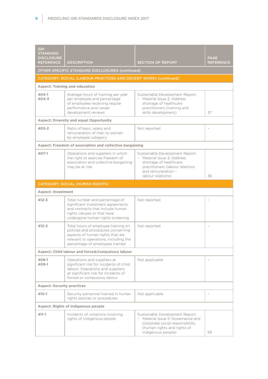| <b>GRI</b><br><b>STANDARD</b><br><b>DISCLOSURE</b><br><b>REFERENCE</b> | <b>DESCRIPTION</b>                                                                                                                                                                        | <b>SECTION OF REPORT</b>                                                                                                                                               | <b>PAGE</b><br><b>REFERENCE</b> |
|------------------------------------------------------------------------|-------------------------------------------------------------------------------------------------------------------------------------------------------------------------------------------|------------------------------------------------------------------------------------------------------------------------------------------------------------------------|---------------------------------|
|                                                                        | OTHER SPECIFIC STANDARD DISCLOSURES (continued)                                                                                                                                           |                                                                                                                                                                        |                                 |
|                                                                        | CATEGORY: SOCIAL (LABOUR PRACTICES AND DECENT WORK) (continued)                                                                                                                           |                                                                                                                                                                        |                                 |
|                                                                        | <b>Aspect: Training and education</b>                                                                                                                                                     |                                                                                                                                                                        |                                 |
| $404 - 1$<br>$404 - 3$                                                 | Average hours of training per year<br>per employee and percentage<br>of employees receiving regular<br>performance and career<br>development reviews                                      | Sustainable Development Report:<br>• Material Issue 2: Address<br>shortage of healthcare<br>practitioners (training and<br>skills development)                         | 37                              |
|                                                                        | <b>Aspect: Diversity and equal Opportunity</b>                                                                                                                                            |                                                                                                                                                                        |                                 |
| $405 - 2$                                                              | Ratio of basic salary and<br>remuneration of men to women<br>by employee category                                                                                                         | Not reported                                                                                                                                                           | $\overline{\phantom{0}}$        |
|                                                                        | Aspect: Freedom of association and collective bargaining                                                                                                                                  |                                                                                                                                                                        |                                 |
| 407-1                                                                  | Operations and suppliers in which<br>the right to exercise freedom of<br>association and collective bargaining<br>may be at risk                                                          | Sustainable Development Report:<br>· Material Issue 2: Address<br>shortage of healthcare<br>practitioners (labour relations<br>and remuneration -<br>labour relations) | 36                              |
|                                                                        | <b>CATEGORY: SOCIAL (HUMAN RIGHTS)</b>                                                                                                                                                    |                                                                                                                                                                        |                                 |
| <b>Aspect: Investment</b>                                              |                                                                                                                                                                                           |                                                                                                                                                                        |                                 |
| $412 - 3$                                                              | Total number and percentage of<br>significant investment agreements<br>and contracts that include human<br>rights clauses or that have<br>undergone human rights screening                | Not reported                                                                                                                                                           |                                 |
| $412 - 2$                                                              | Total hours of employee training on<br>policies and procedures concerning<br>aspects of human rights that are<br>relevant to operations, including the<br>percentage of employees trained | Not reported                                                                                                                                                           | $\overline{\phantom{a}}$        |
|                                                                        | Aspect: Child labour and forced/compulsory labour                                                                                                                                         |                                                                                                                                                                        |                                 |
| 408-1<br>409-1                                                         | Operations and suppliers at<br>significant risk for incidents of child<br>labour; Operations and suppliers<br>at significant risk for incidents of<br>forced or compulsory labour         | Not applicable                                                                                                                                                         |                                 |
| <b>Aspect: Security practices</b>                                      |                                                                                                                                                                                           |                                                                                                                                                                        |                                 |
| 410-1                                                                  | Security personnel trained in human<br>rights policies or procedures                                                                                                                      | Not applicable                                                                                                                                                         |                                 |
| <b>Aspect: Rights of indigenous people</b>                             |                                                                                                                                                                                           |                                                                                                                                                                        |                                 |
| 411-1                                                                  | Incidents of violations involving<br>rights of indigenous people                                                                                                                          | Sustainable Development Report:<br>• Material Issue 5: Governance and<br>corporate social responsibility<br>(human rights and rights of<br>indigenous people)          | 59                              |